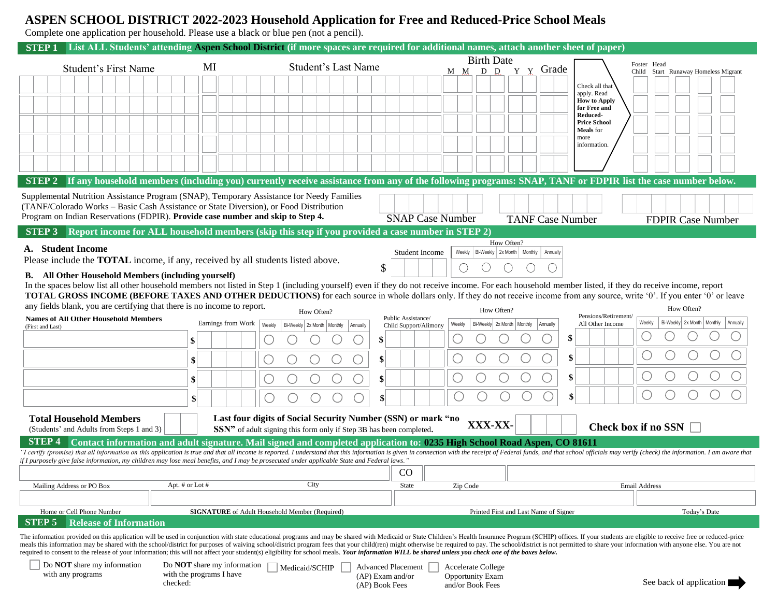## **ASPEN SCHOOL DISTRICT 2022-2023 Household Application for Free and Reduced-Price School Meals**

Complete one application per household. Please use a black or blue pen (not a pencil).

checked:

| List ALL Students' attending Aspen School District (if more spaces are required for additional names, attach another sheet of paper)<br><b>STEP1</b>                                                                                                                                                                                                                                        |                                  |                                                                                                  |                                             |                                            |                                       |                                                                                                                                                                                                                                |  |
|---------------------------------------------------------------------------------------------------------------------------------------------------------------------------------------------------------------------------------------------------------------------------------------------------------------------------------------------------------------------------------------------|----------------------------------|--------------------------------------------------------------------------------------------------|---------------------------------------------|--------------------------------------------|---------------------------------------|--------------------------------------------------------------------------------------------------------------------------------------------------------------------------------------------------------------------------------|--|
|                                                                                                                                                                                                                                                                                                                                                                                             | <b>Student's Last Name</b><br>MI |                                                                                                  |                                             | <b>Birth Date</b>                          |                                       | Foster Head                                                                                                                                                                                                                    |  |
| <b>Student's First Name</b>                                                                                                                                                                                                                                                                                                                                                                 |                                  |                                                                                                  |                                             | M M D D                                    | Y Y Grade                             | Child Start Runaway Homeless Migrant                                                                                                                                                                                           |  |
|                                                                                                                                                                                                                                                                                                                                                                                             |                                  |                                                                                                  |                                             |                                            |                                       | Check all that<br>apply. Read                                                                                                                                                                                                  |  |
|                                                                                                                                                                                                                                                                                                                                                                                             |                                  |                                                                                                  |                                             |                                            |                                       | <b>How to Apply</b>                                                                                                                                                                                                            |  |
|                                                                                                                                                                                                                                                                                                                                                                                             |                                  |                                                                                                  |                                             |                                            |                                       | for Free and<br>Reduced-                                                                                                                                                                                                       |  |
|                                                                                                                                                                                                                                                                                                                                                                                             |                                  |                                                                                                  |                                             |                                            |                                       | <b>Price School</b><br><b>Meals</b> for                                                                                                                                                                                        |  |
|                                                                                                                                                                                                                                                                                                                                                                                             |                                  |                                                                                                  |                                             |                                            |                                       | more<br>information.                                                                                                                                                                                                           |  |
|                                                                                                                                                                                                                                                                                                                                                                                             |                                  |                                                                                                  |                                             |                                            |                                       |                                                                                                                                                                                                                                |  |
|                                                                                                                                                                                                                                                                                                                                                                                             |                                  |                                                                                                  |                                             |                                            |                                       |                                                                                                                                                                                                                                |  |
|                                                                                                                                                                                                                                                                                                                                                                                             |                                  |                                                                                                  |                                             |                                            |                                       | STEP 2 If any household members (including you) currently receive assistance from any of the following programs: SNAP, TANF or FDPIR list the case number below.                                                               |  |
| Supplemental Nutrition Assistance Program (SNAP), Temporary Assistance for Needy Families                                                                                                                                                                                                                                                                                                   |                                  |                                                                                                  |                                             |                                            |                                       |                                                                                                                                                                                                                                |  |
| (TANF/Colorado Works – Basic Cash Assistance or State Diversion), or Food Distribution<br>Program on Indian Reservations (FDPIR). Provide case number and skip to Step 4.                                                                                                                                                                                                                   |                                  |                                                                                                  | <b>SNAP Case Number</b>                     |                                            |                                       |                                                                                                                                                                                                                                |  |
| STEP 3                                                                                                                                                                                                                                                                                                                                                                                      |                                  | Report income for ALL household members (skip this step if you provided a case number in STEP 2) |                                             |                                            | <b>TANF Case Number</b>               | <b>FDPIR Case Number</b>                                                                                                                                                                                                       |  |
|                                                                                                                                                                                                                                                                                                                                                                                             |                                  |                                                                                                  |                                             | How Often?                                 |                                       |                                                                                                                                                                                                                                |  |
| A. Student Income<br>Please include the TOTAL income, if any, received by all students listed above.                                                                                                                                                                                                                                                                                        |                                  |                                                                                                  | Student Income                              | Weekly Bi-Weekly 2x Month Monthly Annually |                                       |                                                                                                                                                                                                                                |  |
|                                                                                                                                                                                                                                                                                                                                                                                             |                                  |                                                                                                  | \$                                          | ◡                                          |                                       |                                                                                                                                                                                                                                |  |
| <b>B.</b> All Other Household Members (including yourself)                                                                                                                                                                                                                                                                                                                                  |                                  |                                                                                                  |                                             |                                            |                                       |                                                                                                                                                                                                                                |  |
| In the spaces below list all other household members not listed in Step 1 (including yourself) even if they do not receive income. For each household member listed, if they do receive income, report<br>TOTAL GROSS INCOME (BEFORE TAXES AND OTHER DEDUCTIONS) for each source in whole dollars only. If they do not receive income from any source, write '0'. If you enter '0' or leave |                                  |                                                                                                  |                                             |                                            |                                       |                                                                                                                                                                                                                                |  |
| any fields blank, you are certifying that there is no income to report.                                                                                                                                                                                                                                                                                                                     |                                  | How Often?                                                                                       |                                             | How Often?                                 |                                       | How Often?                                                                                                                                                                                                                     |  |
| <b>Names of All Other Household Members</b><br>(First and Last)                                                                                                                                                                                                                                                                                                                             | Earnings from Work               | Weekly<br>Bi-Weekly 2x Month   Monthly<br>Annually                                               | Public Assistance/<br>Child Support/Alimony | Bi-Weekly 2x Month   Monthly<br>Weekly     | Annually                              | Pensions/Retirement/<br>Bi-Weekly 2x Month Monthly Annually<br>Weekly<br>All Other Income                                                                                                                                      |  |
|                                                                                                                                                                                                                                                                                                                                                                                             | \$                               |                                                                                                  | \$                                          |                                            | \$                                    |                                                                                                                                                                                                                                |  |
|                                                                                                                                                                                                                                                                                                                                                                                             |                                  |                                                                                                  |                                             |                                            | \$                                    |                                                                                                                                                                                                                                |  |
|                                                                                                                                                                                                                                                                                                                                                                                             | \$                               |                                                                                                  | \$                                          |                                            |                                       |                                                                                                                                                                                                                                |  |
|                                                                                                                                                                                                                                                                                                                                                                                             | \$                               |                                                                                                  |                                             |                                            | \$                                    |                                                                                                                                                                                                                                |  |
|                                                                                                                                                                                                                                                                                                                                                                                             | $\mathbf{s}$                     | С<br>O                                                                                           |                                             |                                            | \$                                    |                                                                                                                                                                                                                                |  |
|                                                                                                                                                                                                                                                                                                                                                                                             |                                  |                                                                                                  |                                             |                                            |                                       |                                                                                                                                                                                                                                |  |
| <b>Total Household Members</b>                                                                                                                                                                                                                                                                                                                                                              |                                  | Last four digits of Social Security Number (SSN) or mark "no                                     |                                             | XXX-XX-                                    |                                       | <b>Check box if no SSN</b>                                                                                                                                                                                                     |  |
| (Students' and Adults from Steps 1 and 3)<br><b>STEP 4</b>                                                                                                                                                                                                                                                                                                                                  |                                  | SSN" of adult signing this form only if Step 3B has been completed.                              |                                             |                                            |                                       |                                                                                                                                                                                                                                |  |
| Contact information and adult signature. Mail signed and completed application to: 0235 High School Road Aspen, CO 81611<br>"I certify (promise) that all information on this application is true and that all income is reported. I understand that this information is given in connection with the receipt of Federal funds, and that school officials                                   |                                  |                                                                                                  |                                             |                                            |                                       |                                                                                                                                                                                                                                |  |
| ". f I purposely give false information, my children may lose meal benefits, and I may be prosecuted under applicable State and Federal laws."                                                                                                                                                                                                                                              |                                  |                                                                                                  |                                             |                                            |                                       |                                                                                                                                                                                                                                |  |
|                                                                                                                                                                                                                                                                                                                                                                                             | Apt. # or Lot #                  | City                                                                                             | $_{\rm CO}$                                 |                                            |                                       |                                                                                                                                                                                                                                |  |
| Mailing Address or PO Box                                                                                                                                                                                                                                                                                                                                                                   |                                  |                                                                                                  | State                                       | Zip Code                                   |                                       | <b>Email Address</b>                                                                                                                                                                                                           |  |
| Home or Cell Phone Number                                                                                                                                                                                                                                                                                                                                                                   |                                  | <b>SIGNATURE</b> of Adult Household Member (Required)                                            |                                             |                                            | Printed First and Last Name of Signer | Today's Date                                                                                                                                                                                                                   |  |
| <b>STEP 5</b><br><b>Release of Information</b>                                                                                                                                                                                                                                                                                                                                              |                                  |                                                                                                  |                                             |                                            |                                       |                                                                                                                                                                                                                                |  |
| The information provided on this application will be used in conjunction with state educational programs and may be shared with Medicaid or State Children's Health Insurance Program (SCHIP) offices. If your students are el                                                                                                                                                              |                                  |                                                                                                  |                                             |                                            |                                       |                                                                                                                                                                                                                                |  |
|                                                                                                                                                                                                                                                                                                                                                                                             |                                  |                                                                                                  |                                             |                                            |                                       | meals this information may be shared with the school/district for purposes of waiving school/district program fees that your child(ren) might otherwise be required to pay. The school/district is not permitted to share your |  |
| required to consent to the release of your information; this will not affect your student(s) eligibility for school meals. Your information WILL be shared unless you check one of the boxes below.<br>Do <b>NOT</b> share my information<br>Do <b>NOT</b> share my information<br><b>Advanced Placement</b><br><b>Accelerate College</b><br>Medicaid/SCHIP                                 |                                  |                                                                                                  |                                             |                                            |                                       |                                                                                                                                                                                                                                |  |
| with any programs                                                                                                                                                                                                                                                                                                                                                                           | with the programs I have         |                                                                                                  | (AP) Exam and/or                            | Opportunity Exam                           |                                       |                                                                                                                                                                                                                                |  |

(AP) Book Fees

and/or Book Fees

See back of application